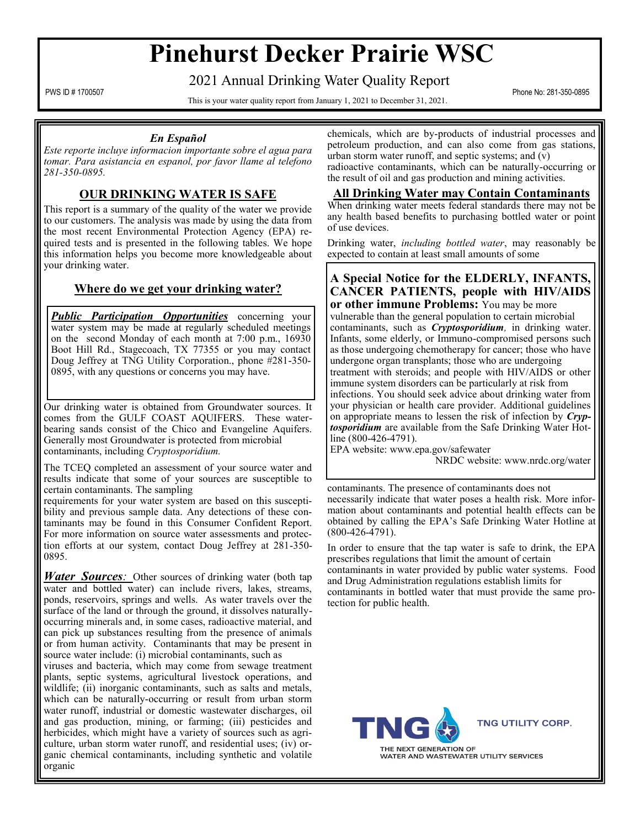# **Pinehurst Decker Prairie WSC**

2021 Annual Drinking Water Quality Report

PWS ID # 1700507 Phone No: 281-350-0895<br>This is your water quality report from January 1, 2021 to December 31, 2021.

#### *En Español*

*Este reporte incluye informacion importante sobre el agua para tomar. Para asistancia en espanol, por favor llame al telefono 281-350-0895.*

## **OUR DRINKING WATER IS SAFE**

This report is a summary of the quality of the water we provide to our customers. The analysis was made by using the data from the most recent Environmental Protection Agency (EPA) required tests and is presented in the following tables. We hope this information helps you become more knowledgeable about your drinking water.

## **Where do we get your drinking water?**

*Public Participation Opportunities* concerning your water system may be made at regularly scheduled meetings on the second Monday of each month at 7:00 p.m., 16930 Boot Hill Rd., Stagecoach, TX 77355 or you may contact Doug Jeffrey at TNG Utility Corporation., phone #281-350- 0895, with any questions or concerns you may have.

Our drinking water is obtained from Groundwater sources. It comes from the GULF COAST AQUIFERS. These waterbearing sands consist of the Chico and Evangeline Aquifers. Generally most Groundwater is protected from microbial contaminants, including *Cryptosporidium.*

The TCEQ completed an assessment of your source water and results indicate that some of your sources are susceptible to certain contaminants. The sampling

requirements for your water system are based on this susceptibility and previous sample data. Any detections of these contaminants may be found in this Consumer Confident Report. For more information on source water assessments and protection efforts at our system, contact Doug Jeffrey at 281-350- 0895.

*Water Sources:* Other sources of drinking water (both tap water and bottled water) can include rivers, lakes, streams, ponds, reservoirs, springs and wells. As water travels over the surface of the land or through the ground, it dissolves naturallyoccurring minerals and, in some cases, radioactive material, and can pick up substances resulting from the presence of animals or from human activity. Contaminants that may be present in source water include: (i) microbial contaminants, such as

viruses and bacteria, which may come from sewage treatment plants, septic systems, agricultural livestock operations, and wildlife; (ii) inorganic contaminants, such as salts and metals, which can be naturally-occurring or result from urban storm water runoff, industrial or domestic wastewater discharges, oil and gas production, mining, or farming; (iii) pesticides and herbicides, which might have a variety of sources such as agriculture, urban storm water runoff, and residential uses; (iv) organic chemical contaminants, including synthetic and volatile organic

chemicals, which are by-products of industrial processes and petroleum production, and can also come from gas stations, urban storm water runoff, and septic systems; and  $\overline{(v)}$ radioactive contaminants, which can be naturally-occurring or

the result of oil and gas production and mining activities.

#### **All Drinking Water may Contain Contaminants**

When drinking water meets federal standards there may not be any health based benefits to purchasing bottled water or point of use devices.

Drinking water, *including bottled water*, may reasonably be expected to contain at least small amounts of some

#### **A Special Notice for the ELDERLY, INFANTS, CANCER PATIENTS, people with HIV/AIDS or other immune Problems:** You may be more

vulnerable than the general population to certain microbial contaminants, such as *Cryptosporidium,* in drinking water. Infants, some elderly, or Immuno-compromised persons such as those undergoing chemotherapy for cancer; those who have undergone organ transplants; those who are undergoing treatment with steroids; and people with HIV/AIDS or other immune system disorders can be particularly at risk from infections. You should seek advice about drinking water from your physician or health care provider. Additional guidelines on appropriate means to lessen the risk of infection by *Cryptosporidium* are available from the Safe Drinking Water Hotline (800-426-4791).

EPA website: www.epa.gov/safewater NRDC website: www.nrdc.org/water

contaminants. The presence of contaminants does not necessarily indicate that water poses a health risk. More information about contaminants and potential health effects can be obtained by calling the EPA's Safe Drinking Water Hotline at (800-426-4791).

In order to ensure that the tap water is safe to drink, the EPA prescribes regulations that limit the amount of certain

contaminants in water provided by public water systems. Food and Drug Administration regulations establish limits for contaminants in bottled water that must provide the same protection for public health.



**TNG UTILITY CORP.** 

WATER AND WASTEWATER UTILITY SERVICES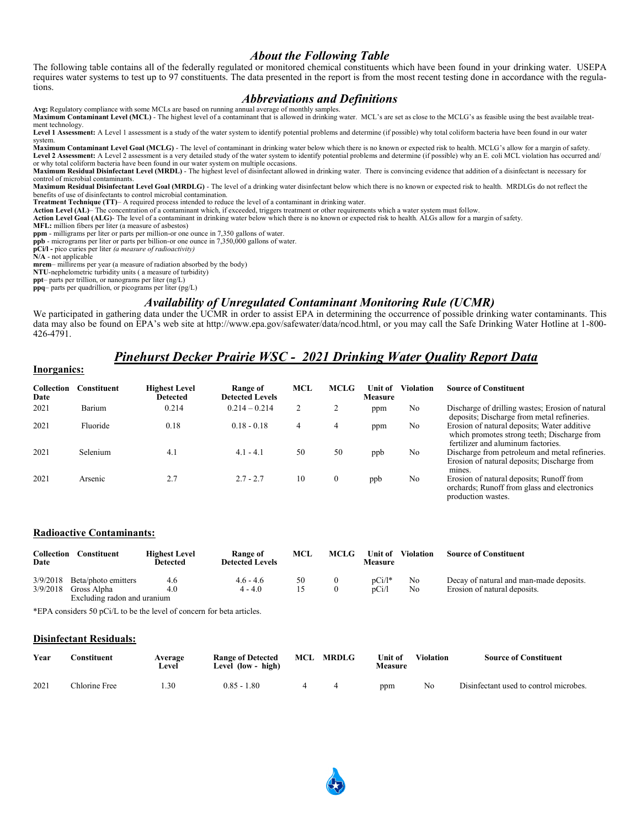#### *About the Following Table*

The following table contains all of the federally regulated or monitored chemical constituents which have been found in your drinking water. USEPA requires water systems to test up to 97 constituents. The data presented in the report is from the most recent testing done in accordance with the regulations.

#### *Abbreviations and Definitions*

**Avg:** Regulatory compliance with some MCLs are based on running annual average of monthly samples. **Maximum Contaminant Level (MCL)** - The highest level of a contaminant that is allowed in drinking water. MCL's are set as close to the MCLG's as feasible using the best available treatment technology.

Level 1 Assessment: A Level 1 assessment is a study of the water system to identify potential problems and determine (if possible) why total coliform bacteria have been found in our water system.

**Maximum Contaminant Level Goal (MCLG)** - The level of contaminant in drinking water below which there is no known or expected risk to health. MCLG's allow for a margin of safety. Level 2 Assessment: A Level 2 assessment is a very detailed study of the water system to identify potential problems and determine (if possible) why an E. coli MCL violation has occurred and/ or why total coliform bacteria have been found in our water system on multiple occasions.

**Maximum Residual Disinfectant Level (MRDL)** - The highest level of disinfectant allowed in drinking water. There is convincing evidence that addition of a disinfectant is necessary for control of microbial contaminants.

**Maximum Residual Disinfectant Level Goal (MRDLG)** - The level of a drinking water disinfectant below which there is no known or expected risk to health. MRDLGs do not reflect the benefits of use of disinfectants to control microbial contamination. **Treatment Technique (TT)**– A required process intended to reduce the level of a contaminant in drinking water.

Action Level (AL)– The concentration of a contaminant which, if exceeded, triggers treatment or other requirements which a water system must follow.<br>Action Level Goal (ALG)- The level of a contaminant in drinking water bel

**MFL:** million fibers per liter (a measure of asbestos)

**ppm** - milligrams per liter or parts per million-or one ounce in 7,350 gallons of water.

**ppb** - micrograms per liter or parts per billion-or one ounce in 7,350,000 gallons of water.

**pCi/l -** pico curies per liter *(a measure of radioactivity)*  **N/A** - not applicable

**mrem**– millirems per year (a measure of radiation absorbed by the body)

**NTU**-nephelometric turbidity units ( a measure of turbidity)

**ppt**– parts per trillion, or nanograms per liter (ng/L)

**ppq**– parts per quadrillion, or picograms per liter (pg/L)

## *Availability of Unregulated Contaminant Monitoring Rule (UCMR)*

We participated in gathering data under the UCMR in order to assist EPA in determining the occurrence of possible drinking water contaminants. This data may also be found on EPA's web site at http://www.epa.gov/safewater/data/ncod.html, or you may call the Safe Drinking Water Hotline at 1-800- 426-4791.

## *Pinehurst Decker Prairie WSC - 2021 Drinking Water Quality Report Data*

| THAT CHINGS.              |                    |                                  |                                    |            |              |                           |                  |                                                                                                                                  |  |
|---------------------------|--------------------|----------------------------------|------------------------------------|------------|--------------|---------------------------|------------------|----------------------------------------------------------------------------------------------------------------------------------|--|
| <b>Collection</b><br>Date | <b>Constituent</b> | <b>Highest Level</b><br>Detected | Range of<br><b>Detected Levels</b> | <b>MCL</b> | <b>MCLG</b>  | Unit of<br><b>Measure</b> | <b>Violation</b> | <b>Source of Constituent</b>                                                                                                     |  |
| 2021                      | Barium             | 0.214                            | $0.214 - 0.214$                    |            | 2            | ppm                       | No               | Discharge of drilling wastes; Erosion of natural<br>deposits; Discharge from metal refineries.                                   |  |
| 2021                      | Fluoride           | 0.18                             | $0.18 - 0.18$                      | 4          | 4            | ppm                       | No               | Erosion of natural deposits; Water additive<br>which promotes strong teeth; Discharge from<br>fertilizer and aluminum factories. |  |
| 2021                      | Selenium           | 4.1                              | $4.1 - 4.1$                        | 50         | 50           | ppb                       | No               | Discharge from petroleum and metal refineries.<br>Erosion of natural deposits; Discharge from<br>mines.                          |  |
| 2021                      | Arsenic            | 2.7                              | $2.7 - 2.7$                        | 10         | $\mathbf{0}$ | ppb                       | No               | Erosion of natural deposits; Runoff from<br>orchards; Runoff from glass and electronics<br>production wastes.                    |  |

#### **Radioactive Contaminants:**

**Inorganics:**

| Collection<br>Date | Constituent                 | <b>Highest Level</b><br>Detected | <b>Range of</b><br><b>Detected Levels</b> | MCL | <b>MCLG</b> | <b>Unit of</b><br>Measure | <b>Violation</b> | <b>Source of Constituent</b>            |
|--------------------|-----------------------------|----------------------------------|-------------------------------------------|-----|-------------|---------------------------|------------------|-----------------------------------------|
| 3/9/2018           | Beta/photo emitters         | 4.6                              | $4.6 - 4.6$                               | 50  |             | $pCi/l^*$                 | No               | Decay of natural and man-made deposits. |
| 3/9/2018           | Gross Alpha                 | 4.0                              | $4 - 4.0$                                 | 15  |             | pCi/l                     | No               | Erosion of natural deposits.            |
|                    | Excluding radon and uranium |                                  |                                           |     |             |                           |                  |                                         |

\*EPA considers 50 pCi/L to be the level of concern for beta articles.

#### **Disinfectant Residuals:**

| Year | <b>Constituent</b> | Average<br>∟evel | <b>Range of Detected</b><br>Level (low - high) | MCL | <b>MRDLG</b> | <b>Unit of</b><br>Measure | <b>Violation</b> | <b>Source of Constituent</b>           |
|------|--------------------|------------------|------------------------------------------------|-----|--------------|---------------------------|------------------|----------------------------------------|
| 2021 | Chlorine Free      | .30              | $0.85 - 1.80$                                  |     |              | ppm                       | No               | Disinfectant used to control microbes. |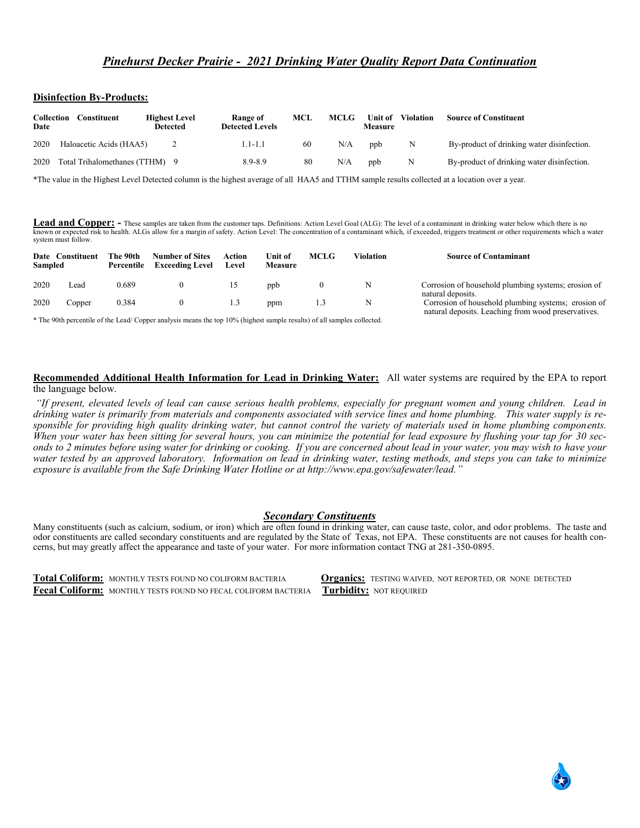#### **Disinfection By-Products:**

| Collection<br>Date | Constituent                  | <b>Highest Level</b><br><b>Detected</b> | Range of<br><b>Detected Levels</b> | MCL | <b>MCLG</b> | Unit of<br>Measure | <b>Violation</b> | <b>Source of Constituent</b>               |
|--------------------|------------------------------|-----------------------------------------|------------------------------------|-----|-------------|--------------------|------------------|--------------------------------------------|
| 2020               | Haloacetic Acids (HAA5)      |                                         | $1.1 - 1.1$                        | 60  | N/A         | ppb                | N                | By-product of drinking water disinfection. |
| 2020               | Total Trihalomethanes (TTHM) |                                         | $8.9 - 8.9$                        | 80  | N/A         | ppb                | N                | By-product of drinking water disinfection. |

\*The value in the Highest Level Detected column is the highest average of all HAA5 and TTHM sample results collected at a location over a year.

**Lead and Copper:** - These samples are taken from the customer taps. Definitions: Action Level Goal (ALG): The level of a contaminant in drinking water below which there is no known or expected risk to health. ALGs allow for a margin of safety. Action Level: The concentration of a contaminant which, if exceeded, triggers treatment or other requirements which a water system must follow.

| Sampled | Date Constituent | The 90th<br>Percentile | <b>Number of Sites</b><br><b>Exceeding Level</b> | Action<br>Level | Unit of<br>Measure | <b>MCLG</b> | Violation | <b>Source of Contaminant</b>                                                                               |
|---------|------------------|------------------------|--------------------------------------------------|-----------------|--------------------|-------------|-----------|------------------------------------------------------------------------------------------------------------|
| 2020    | ∟ead             | 0.689                  |                                                  |                 | ppb                |             |           | Corrosion of household plumbing systems; erosion of<br>natural deposits.                                   |
| 2020    | Copper           | 0.384                  |                                                  | 1.3             | ppm                |             |           | Corrosion of household plumbing systems; erosion of<br>natural deposits. Leaching from wood preservatives. |

\* The 90th percentile of the Lead/ Copper analysis means the top 10% (highest sample results) of all samples collected.

**Recommended Additional Health Information for Lead in Drinking Water:** All water systems are required by the EPA to report the language below.

*"If present, elevated levels of lead can cause serious health problems, especially for pregnant women and young children. Lead in drinking water is primarily from materials and components associated with service lines and home plumbing. This water supply is responsible for providing high quality drinking water, but cannot control the variety of materials used in home plumbing components. When your water has been sitting for several hours, you can minimize the potential for lead exposure by flushing your tap for 30 seconds to 2 minutes before using water for drinking or cooking. If you are concerned about lead in your water, you may wish to have your water tested by an approved laboratory. Information on lead in drinking water, testing methods, and steps you can take to minimize exposure is available from the Safe Drinking Water Hotline or at http://www.epa.gov/safewater/lead."*

#### *Secondary Constituents*

Many constituents (such as calcium, sodium, or iron) which are often found in drinking water, can cause taste, color, and odor problems. The taste and odor constituents are called secondary constituents and are regulated by the State of Texas, not EPA. These constituents are not causes for health concerns, but may greatly affect the appearance and taste of your water. For more information contact TNG at 281-350-0895.

**Total Coliform:** MONTHLY TESTS FOUND NO COLIFORM BACTERIA **Organics:** TESTING WAIVED, NOT REPORTED, OR NONE DETECTED Fecal Coliform: MONTHLY TESTS FOUND NO FECAL COLIFORM BACTERIA **Turbidity:** NOT REQUIRED